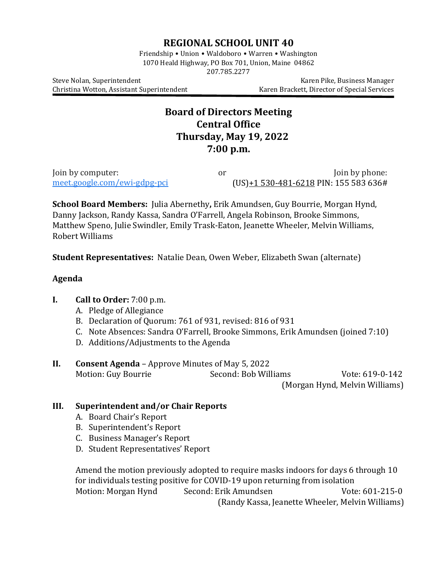## **REGIONAL SCHOOL UNIT 40**

Friendship • Union • Waldoboro • Warren • Washington 1070 Heald Highway, PO Box 701, Union, Maine 04862 207.785.2277

Christina Wotton, Assistant Superintendent

Steve Nolan, Superintendent<br>Christina Wotton, Assistant Superintendent (Karen Brackett, Director of Special Services

## **Board of Directors Meeting Central Office Thursday, May 19, 2022 7:00 p.m.**

| Join by computer:            | or | Join by phone:                         |
|------------------------------|----|----------------------------------------|
| meet.google.com/ewi-gdpg-pci |    | $(US)+1530-481-6218$ PIN: 155 583 636# |

**School Board Members:** Julia Abernethy**,** Erik Amundsen, Guy Bourrie, Morgan Hynd, Danny Jackson, Randy Kassa, Sandra O'Farrell, Angela Robinson, Brooke Simmons, Matthew Speno, Julie Swindler, Emily Trask-Eaton, Jeanette Wheeler, Melvin Williams, Robert Williams

**Student Representatives:** Natalie Dean, Owen Weber, Elizabeth Swan (alternate)

#### **Agenda**

### **I. Call to Order:** 7:00 p.m.

- A. Pledge of Allegiance
- B. Declaration of Quorum: 761 of 931, revised: 816 of 931
- C. Note Absences: Sandra O'Farrell, Brooke Simmons, Erik Amundsen (joined 7:10)
- D. Additions/Adjustments to the Agenda

# **II. Consent Agenda** – Approve Minutes of May 5, 2022<br>Motion: Guv Bourrie **Second: Bob Williams** Motion: Guy Bourrie Second: Bob Williams Vote: 619-0-142

(Morgan Hynd, Melvin Williams)

### **III. Superintendent and/or Chair Reports**

- A. Board Chair's Report
- B. Superintendent's Report
- C. Business Manager's Report
- D. Student Representatives' Report

Amend the motion previously adopted to require masks indoors for days 6 through 10 for individuals testing positive for COVID-19 upon returning from isolation Motion: Morgan Hynd (Randy Kassa, Jeanette Wheeler, Melvin Williams)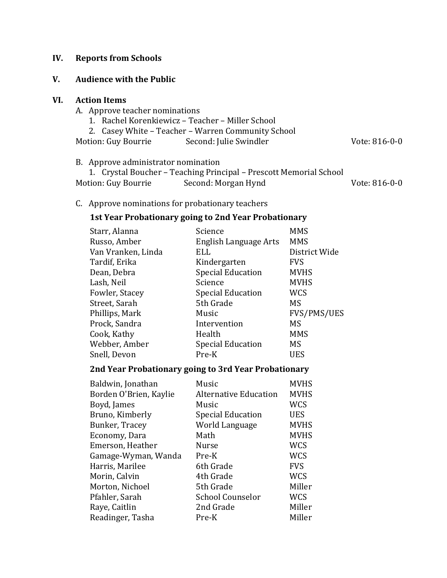#### **IV. Reports from Schools**

#### **V. Audience with the Public**

#### **VI. Action Items**

- A. Approve teacher nominations
	- 1. Rachel Korenkiewicz Teacher Miller School
	- 2. Casey White Teacher Warren Community School<br>tion: Guy Bourrie Second: Julie Swindler
- Motion: Guy Bourrie Second: Julie Swindler Vote: 816-0-0

B. Approve administrator nomination

|                     | 1. Crystal Boucher – Teaching Principal – Prescott Memorial School |               |
|---------------------|--------------------------------------------------------------------|---------------|
| Motion: Guy Bourrie | Second: Morgan Hynd                                                | Vote: 816-0-0 |

C. Approve nominations for probationary teachers

## **1st Year Probationary going to 2nd Year Probationary**

| Starr, Alanna      | Science                  | <b>MMS</b>         |
|--------------------|--------------------------|--------------------|
| Russo, Amber       | English Language Arts    | <b>MMS</b>         |
| Van Vranken, Linda | ELL                      | District Wide      |
| Tardif, Erika      | Kindergarten             | <b>FVS</b>         |
| Dean, Debra        | <b>Special Education</b> | <b>MVHS</b>        |
| Lash, Neil         | Science                  | <b>MVHS</b>        |
| Fowler, Stacey     | <b>Special Education</b> | <b>WCS</b>         |
| Street, Sarah      | 5th Grade                | <b>MS</b>          |
| Phillips, Mark     | Music                    | <b>FVS/PMS/UES</b> |
| Prock, Sandra      | Intervention             | <b>MS</b>          |
| Cook, Kathy        | Health                   | <b>MMS</b>         |
| Webber, Amber      | <b>Special Education</b> | <b>MS</b>          |
| Snell, Devon       | Pre-K                    | <b>UES</b>         |

### **2nd Year Probationary going to 3rd Year Probationary**

| Baldwin, Jonathan      | Music                        | <b>MVHS</b> |
|------------------------|------------------------------|-------------|
| Borden O'Brien, Kaylie | <b>Alternative Education</b> | <b>MVHS</b> |
| Boyd, James            | Music                        | <b>WCS</b>  |
| Bruno, Kimberly        | <b>Special Education</b>     | <b>UES</b>  |
| Bunker, Tracey         | World Language               | <b>MVHS</b> |
| Economy, Dara          | Math                         | <b>MVHS</b> |
| Emerson, Heather       | <b>Nurse</b>                 | <b>WCS</b>  |
| Gamage-Wyman, Wanda    | Pre-K                        | <b>WCS</b>  |
| Harris, Marilee        | 6th Grade                    | <b>FVS</b>  |
| Morin, Calvin          | 4th Grade                    | <b>WCS</b>  |
| Morton, Nichoel        | 5th Grade                    | Miller      |
| Pfahler, Sarah         | <b>School Counselor</b>      | <b>WCS</b>  |
| Raye, Caitlin          | 2nd Grade                    | Miller      |
| Readinger, Tasha       | Pre-K                        | Miller      |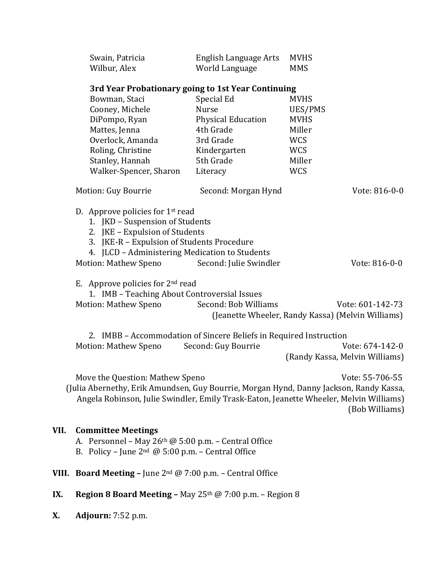| Swain, Patricia | English Language Arts | MVHS       |
|-----------------|-----------------------|------------|
| Wilbur, Alex    | World Language        | <b>MMS</b> |

#### **3rd Year Probationary going to 1st Year Continuing**

| Bowman, Staci          | Special Ed                | <b>MVHS</b> |
|------------------------|---------------------------|-------------|
| Cooney, Michele        | <b>Nurse</b>              | UES/PMS     |
| DiPompo, Ryan          | <b>Physical Education</b> | <b>MVHS</b> |
| Mattes, Jenna          | 4th Grade                 | Miller      |
| Overlock, Amanda       | 3rd Grade                 | <b>WCS</b>  |
| Roling, Christine      | Kindergarten              | <b>WCS</b>  |
| Stanley, Hannah        | 5th Grade                 | Miller      |
| Walker-Spencer, Sharon | Literacy                  | <b>WCS</b>  |
|                        |                           |             |

| Motion: Guy Bourrie | Second: Morgan Hynd | Vote: 816-0-0 |
|---------------------|---------------------|---------------|
|                     |                     |               |

D. Approve policies for 1st read

- 1. JKD Suspension of Students
- 2. JKE Expulsion of Students
- 3. JKE-R Expulsion of Students Procedure
- 4. JLCD Administering Medication to Students

| Motion: Mathew Speno | Second: Julie Swindler | Vote: 816-0-0 |
|----------------------|------------------------|---------------|
|----------------------|------------------------|---------------|

E. Approve policies for  $2<sup>nd</sup>$  read

1. IMB – Teaching About Controversial Issues

| Motion: Mathew Speno | Second: Bob Williams | Vote: 601-142-73                                  |
|----------------------|----------------------|---------------------------------------------------|
|                      |                      | (Jeanette Wheeler, Randy Kassa) (Melvin Williams) |

2. IMBB – Accommodation of Sincere Beliefs in Required Instruction Motion: Mathew Speno (Randy Kassa, Melvin Williams)

Move the Question: Mathew Speno Vote: 55-706-55 (Julia Abernethy, Erik Amundsen, Guy Bourrie, Morgan Hynd, Danny Jackson, Randy Kassa, Angela Robinson, Julie Swindler, Emily Trask-Eaton, Jeanette Wheeler, Melvin Williams) (Bob Williams)

#### **VII. Committee Meetings**

- A. Personnel May  $26<sup>th</sup>$  @ 5:00 p.m. Central Office
- B. Policy June  $2^{nd}$  @ 5:00 p.m. Central Office
- **VIII. Board Meeting –** June 2nd @ 7:00 p.m. Central Office
- **IX. Region 8 Board Meeting –** May  $25<sup>th</sup>$  @ 7:00 p.m. Region 8
- **X. Adjourn:** 7:52 p.m.